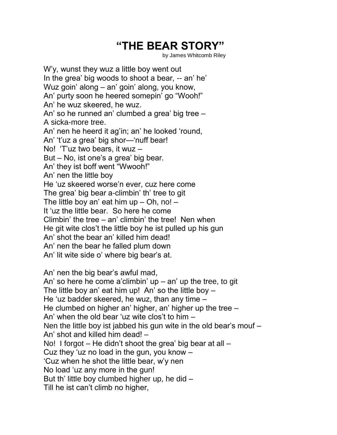## **"THE BEAR STORY"**

by James Whitcomb Riley

W'y, wunst they wuz a little boy went out In the grea' big woods to shoot a bear, -- an' he' Wuz goin' along – an' goin' along, you know, An' purty soon he heered somepin' go "Wooh!" An' he wuz skeered, he wuz. An' so he runned an' clumbed a grea' big tree – A sicka-more tree. An' nen he heerd it ag'in; an' he looked 'round, An' 't'uz a grea' big shor—'nuff bear! No! 'T'uz two bears, it wuz – But – No, ist one's a grea' big bear. An' they ist boff went "Wwooh!" An' nen the little boy He 'uz skeered worse'n ever, cuz here come The grea' big bear a-climbin' th' tree to git The little boy an' eat him up – Oh, no! – It 'uz the little bear. So here he come Climbin' the tree – an' climbin' the tree! Nen when He git wite clos't the little boy he ist pulled up his gun An' shot the bear an' killed him dead! An' nen the bear he falled plum down An' lit wite side o' where big bear's at. An' nen the big bear's awful mad, An' so here he come a'climbin'  $up - an' up$  the tree, to git The little boy an' eat him up! An' so the little boy  $-$ He 'uz badder skeered, he wuz, than any time – He clumbed on higher an' higher, an' higher up the tree – An' when the old bear 'uz wite clos't to him – Nen the little boy ist jabbed his gun wite in the old bear's mouf – An' shot and killed him dead! – No! I forgot – He didn't shoot the grea' big bear at all –

Cuz they 'uz no load in the gun, you know –

'Cuz when he shot the little bear, w'y nen

No load 'uz any more in the gun!

But th' little boy clumbed higher up, he did –

Till he ist can't climb no higher,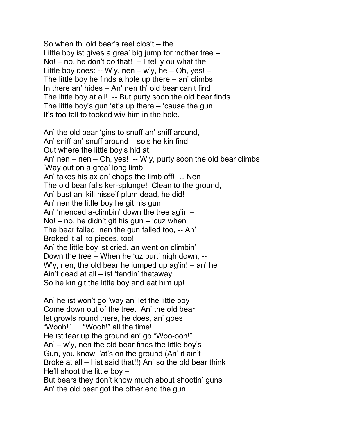So when th' old bear's reel clos't – the Little boy ist gives a grea' big jump for 'nother tree –  $\text{No!}$  – no, he don't do that! -- I tell y ou what the Little boy does: -- W'y, nen – w'y, he – Oh, yes! – The little boy he finds a hole up there – an' climbs In there an' hides – An' nen th' old bear can't find The little boy at all! -- But purty soon the old bear finds The little boy's gun 'at's up there – 'cause the gun It's too tall to tooked wiv him in the hole.

An' the old bear 'gins to snuff an' sniff around, An' sniff an' snuff around – so's he kin find Out where the little boy's hid at. An' nen – nen – Oh, yes! -- W'y, purty soon the old bear climbs 'Way out on a grea' long limb, An' takes his ax an' chops the limb off! … Nen The old bear falls ker-splunge! Clean to the ground, An' bust an' kill hisse'f plum dead, he did! An' nen the little boy he git his gun An' 'menced a-climbin' down the tree ag'in –  $N$ o! – no, he didn't git his gun – 'cuz when The bear falled, nen the gun falled too, -- An' Broked it all to pieces, too! An' the little boy ist cried, an went on climbin' Down the tree – When he 'uz purt' nigh down, -- W'y, nen, the old bear he jumped up ag'in! – an' he Ain't dead at all – ist 'tendin' thataway So he kin git the little boy and eat him up!

An' he ist won't go 'way an' let the little boy Come down out of the tree. An' the old bear Ist growls round there, he does, an' goes "Wooh!" … "Wooh!" all the time! He ist tear up the ground an' go "Woo-ooh!" An' – w'y, nen the old bear finds the little boy's Gun, you know, 'at's on the ground (An' it ain't Broke at all – I ist said that!!) An' so the old bear think He'll shoot the little boy – But bears they don't know much about shootin' guns An' the old bear got the other end the gun